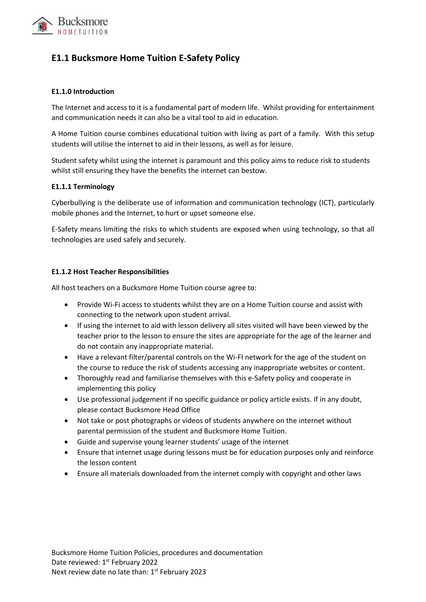

# **E1.1 Bucksmore Home Tuition E-Safety Policy**

## **E1.1.0 Introduction**

The Internet and access to it is a fundamental part of modern life. Whilst providing for entertainment and communication needs it can also be a vital tool to aid in education.

A Home Tuition course combines educational tuition with living as part of a family. With this setup students will utilise the internet to aid in their lessons, as well as for leisure.

Student safety whilst using the internet is paramount and this policy aims to reduce risk to students whilst still ensuring they have the benefits the internet can bestow.

## **E1.1.1 Terminology**

Cyberbullying is the deliberate use of information and communication technology (ICT), particularly mobile phones and the Internet, to hurt or upset someone else.

E-Safety means limiting the risks to which students are exposed when using technology, so that all technologies are used safely and securely.

## **E1.1.2 Host Teacher Responsibilities**

All host teachers on a Bucksmore Home Tuition course agree to:

- Provide Wi-Fi access to students whilst they are on a Home Tuition course and assist with connecting to the network upon student arrival.
- If using the internet to aid with lesson delivery all sites visited will have been viewed by the teacher prior to the lesson to ensure the sites are appropriate for the age of the learner and do not contain any inappropriate material.
- Have a relevant filter/parental controls on the Wi-FI network for the age of the student on the course to reduce the risk of students accessing any inappropriate websites or content.
- Thoroughly read and familiarise themselves with this e-Safety policy and cooperate in implementing this policy
- Use professional judgement if no specific guidance or policy article exists. If in any doubt, please contact Bucksmore Head Office
- Not take or post photographs or videos of students anywhere on the internet without parental permission of the student and Bucksmore Home Tuition.
- Guide and supervise young learner students' usage of the internet
- Ensure that internet usage during lessons must be for education purposes only and reinforce the lesson content
- Ensure all materials downloaded from the internet comply with copyright and other laws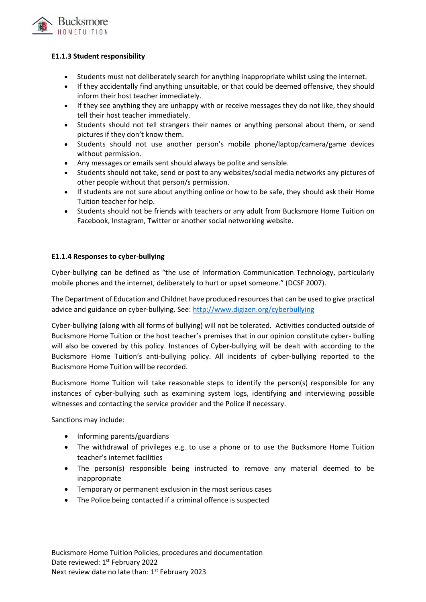

## **E1.1.3 Student responsibility**

- Students must not deliberately search for anything inappropriate whilst using the internet.
- If they accidentally find anything unsuitable, or that could be deemed offensive, they should inform their host teacher immediately.
- If they see anything they are unhappy with or receive messages they do not like, they should tell their host teacher immediately.
- Students should not tell strangers their names or anything personal about them, or send pictures if they don't know them.
- Students should not use another person's mobile phone/laptop/camera/game devices without permission.
- Any messages or emails sent should always be polite and sensible.
- Students should not take, send or post to any websites/social media networks any pictures of other people without that person/s permission.
- If students are not sure about anything online or how to be safe, they should ask their Home Tuition teacher for help.
- Students should not be friends with teachers or any adult from Bucksmore Home Tuition on Facebook, Instagram, Twitter or another social networking website.

## **E1.1.4 Responses to cyber-bullying**

Cyber-bullying can be defined as "the use of Information Communication Technology, particularly mobile phones and the internet, deliberately to hurt or upset someone." (DCSF 2007).

The Department of Education and Childnet have produced resources that can be used to give practical advice and guidance on cyber-bullying. See:<http://www.digizen.org/cyberbullying>

Cyber-bullying (along with all forms of bullying) will not be tolerated. Activities conducted outside of Bucksmore Home Tuition or the host teacher's premises that in our opinion constitute cyber- bulling will also be covered by this policy. Instances of Cyber-bullying will be dealt with according to the Bucksmore Home Tuition's anti-bullying policy. All incidents of cyber-bullying reported to the Bucksmore Home Tuition will be recorded.

Bucksmore Home Tuition will take reasonable steps to identify the person(s) responsible for any instances of cyber-bullying such as examining system logs, identifying and interviewing possible witnesses and contacting the service provider and the Police if necessary.

Sanctions may include:

- Informing parents/guardians
- The withdrawal of privileges e.g. to use a phone or to use the Bucksmore Home Tuition teacher's internet facilities
- The person(s) responsible being instructed to remove any material deemed to be inappropriate
- Temporary or permanent exclusion in the most serious cases
- The Police being contacted if a criminal offence is suspected